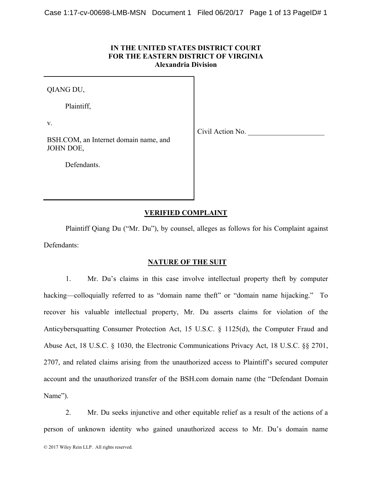# **IN THE UNITED STATES DISTRICT COURT FOR THE EASTERN DISTRICT OF VIRGINIA Alexandria Division**

QIANG DU,

Plaintiff,

v.

Civil Action No.

BSH.COM, an Internet domain name, and JOHN DOE,

Defendants.

# **VERIFIED COMPLAINT**

Plaintiff Qiang Du ("Mr. Du"), by counsel, alleges as follows for his Complaint against Defendants:

### **NATURE OF THE SUIT**

1. Mr. Du's claims in this case involve intellectual property theft by computer hacking—colloquially referred to as "domain name theft" or "domain name hijacking." To recover his valuable intellectual property, Mr. Du asserts claims for violation of the Anticybersquatting Consumer Protection Act, 15 U.S.C. § 1125(d), the Computer Fraud and Abuse Act, 18 U.S.C. § 1030, the Electronic Communications Privacy Act, 18 U.S.C. §§ 2701, 2707, and related claims arising from the unauthorized access to Plaintiff's secured computer account and the unauthorized transfer of the BSH.com domain name (the "Defendant Domain Name").

2. Mr. Du seeks injunctive and other equitable relief as a result of the actions of a person of unknown identity who gained unauthorized access to Mr. Du's domain name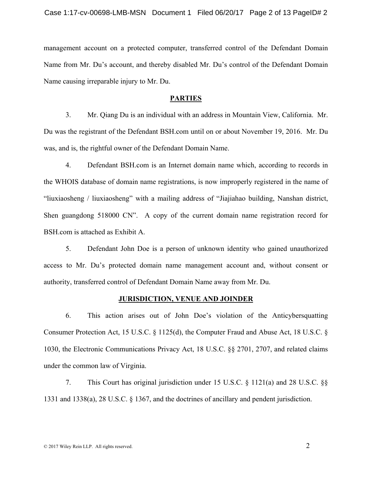management account on a protected computer, transferred control of the Defendant Domain Name from Mr. Du's account, and thereby disabled Mr. Du's control of the Defendant Domain Name causing irreparable injury to Mr. Du.

#### **PARTIES**

3. Mr. Qiang Du is an individual with an address in Mountain View, California. Mr. Du was the registrant of the Defendant BSH.com until on or about November 19, 2016. Mr. Du was, and is, the rightful owner of the Defendant Domain Name.

4. Defendant BSH.com is an Internet domain name which, according to records in the WHOIS database of domain name registrations, is now improperly registered in the name of "liuxiaosheng / liuxiaosheng" with a mailing address of "Jiajiahao building, Nanshan district, Shen guangdong 518000 CN". A copy of the current domain name registration record for BSH.com is attached as Exhibit A.

5. Defendant John Doe is a person of unknown identity who gained unauthorized access to Mr. Du's protected domain name management account and, without consent or authority, transferred control of Defendant Domain Name away from Mr. Du.

#### **JURISDICTION, VENUE AND JOINDER**

6. This action arises out of John Doe's violation of the Anticybersquatting Consumer Protection Act, 15 U.S.C. § 1125(d), the Computer Fraud and Abuse Act, 18 U.S.C. § 1030, the Electronic Communications Privacy Act, 18 U.S.C. §§ 2701, 2707, and related claims under the common law of Virginia.

7. This Court has original jurisdiction under 15 U.S.C. § 1121(a) and 28 U.S.C. §§ 1331 and 1338(a), 28 U.S.C. § 1367, and the doctrines of ancillary and pendent jurisdiction.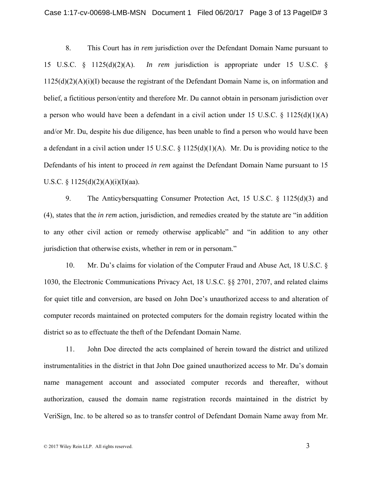8. This Court has *in rem* jurisdiction over the Defendant Domain Name pursuant to 15 U.S.C. § 1125(d)(2)(A). *In rem* jurisdiction is appropriate under 15 U.S.C. §  $1125(d)(2)(A)(i)(I)$  because the registrant of the Defendant Domain Name is, on information and belief, a fictitious person/entity and therefore Mr. Du cannot obtain in personam jurisdiction over a person who would have been a defendant in a civil action under 15 U.S.C.  $\S$  1125(d)(1)(A) and/or Mr. Du, despite his due diligence, has been unable to find a person who would have been a defendant in a civil action under 15 U.S.C. § 1125(d)(1)(A). Mr. Du is providing notice to the Defendants of his intent to proceed *in rem* against the Defendant Domain Name pursuant to 15 U.S.C. §  $1125(d)(2)(A)(i)(I)(aa)$ .

9. The Anticybersquatting Consumer Protection Act, 15 U.S.C. § 1125(d)(3) and (4), states that the *in rem* action, jurisdiction, and remedies created by the statute are "in addition to any other civil action or remedy otherwise applicable" and "in addition to any other jurisdiction that otherwise exists, whether in rem or in personam."

10. Mr. Du's claims for violation of the Computer Fraud and Abuse Act, 18 U.S.C. § 1030, the Electronic Communications Privacy Act, 18 U.S.C. §§ 2701, 2707, and related claims for quiet title and conversion, are based on John Doe's unauthorized access to and alteration of computer records maintained on protected computers for the domain registry located within the district so as to effectuate the theft of the Defendant Domain Name.

11. John Doe directed the acts complained of herein toward the district and utilized instrumentalities in the district in that John Doe gained unauthorized access to Mr. Du's domain name management account and associated computer records and thereafter, without authorization, caused the domain name registration records maintained in the district by VeriSign, Inc. to be altered so as to transfer control of Defendant Domain Name away from Mr.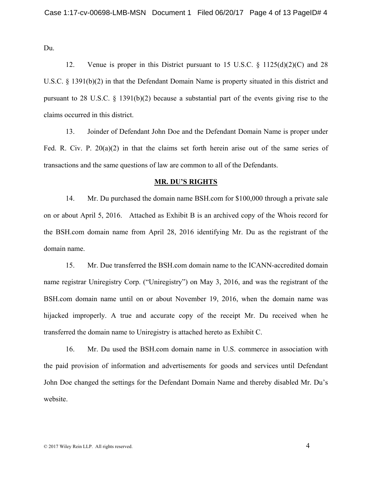Du.

12. Venue is proper in this District pursuant to 15 U.S.C. § 1125(d)(2)(C) and 28 U.S.C. § 1391(b)(2) in that the Defendant Domain Name is property situated in this district and pursuant to 28 U.S.C. § 1391(b)(2) because a substantial part of the events giving rise to the claims occurred in this district.

13. Joinder of Defendant John Doe and the Defendant Domain Name is proper under Fed. R. Civ. P. 20(a)(2) in that the claims set forth herein arise out of the same series of transactions and the same questions of law are common to all of the Defendants.

#### **MR. DU'S RIGHTS**

14. Mr. Du purchased the domain name BSH.com for \$100,000 through a private sale on or about April 5, 2016. Attached as Exhibit B is an archived copy of the Whois record for the BSH.com domain name from April 28, 2016 identifying Mr. Du as the registrant of the domain name.

15. Mr. Due transferred the BSH.com domain name to the ICANN-accredited domain name registrar Uniregistry Corp. ("Uniregistry") on May 3, 2016, and was the registrant of the BSH.com domain name until on or about November 19, 2016, when the domain name was hijacked improperly. A true and accurate copy of the receipt Mr. Du received when he transferred the domain name to Uniregistry is attached hereto as Exhibit C.

16. Mr. Du used the BSH.com domain name in U.S. commerce in association with the paid provision of information and advertisements for goods and services until Defendant John Doe changed the settings for the Defendant Domain Name and thereby disabled Mr. Du's website.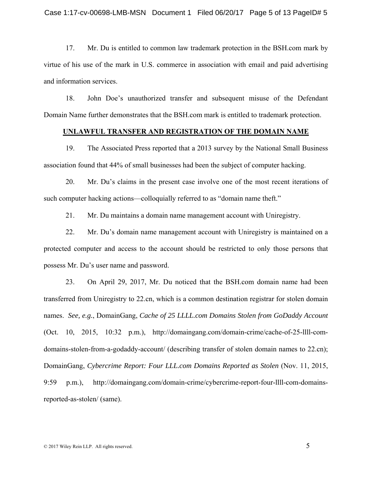17. Mr. Du is entitled to common law trademark protection in the BSH.com mark by virtue of his use of the mark in U.S. commerce in association with email and paid advertising and information services.

18. John Doe's unauthorized transfer and subsequent misuse of the Defendant Domain Name further demonstrates that the BSH.com mark is entitled to trademark protection.

### **UNLAWFUL TRANSFER AND REGISTRATION OF THE DOMAIN NAME**

19. The Associated Press reported that a 2013 survey by the National Small Business association found that 44% of small businesses had been the subject of computer hacking.

20. Mr. Du's claims in the present case involve one of the most recent iterations of such computer hacking actions—colloquially referred to as "domain name theft."

21. Mr. Du maintains a domain name management account with Uniregistry.

22. Mr. Du's domain name management account with Uniregistry is maintained on a protected computer and access to the account should be restricted to only those persons that possess Mr. Du's user name and password.

23. On April 29, 2017, Mr. Du noticed that the BSH.com domain name had been transferred from Uniregistry to 22.cn, which is a common destination registrar for stolen domain names. *See, e.g.*, DomainGang, *Cache of 25 LLLL.com Domains Stolen from GoDaddy Account* (Oct. 10, 2015, 10:32 p.m.), http://domaingang.com/domain-crime/cache-of-25-llll-comdomains-stolen-from-a-godaddy-account/ (describing transfer of stolen domain names to 22.cn); DomainGang, *Cybercrime Report: Four LLL.com Domains Reported as Stolen* (Nov. 11, 2015, 9:59 p.m.), http://domaingang.com/domain-crime/cybercrime-report-four-llll-com-domainsreported-as-stolen/ (same).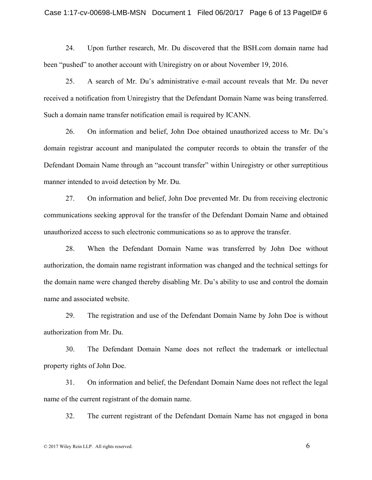#### Case 1:17-cv-00698-LMB-MSN Document 1 Filed 06/20/17 Page 6 of 13 PageID# 6

24. Upon further research, Mr. Du discovered that the BSH.com domain name had been "pushed" to another account with Uniregistry on or about November 19, 2016.

25. A search of Mr. Du's administrative e-mail account reveals that Mr. Du never received a notification from Uniregistry that the Defendant Domain Name was being transferred. Such a domain name transfer notification email is required by ICANN.

26. On information and belief, John Doe obtained unauthorized access to Mr. Du's domain registrar account and manipulated the computer records to obtain the transfer of the Defendant Domain Name through an "account transfer" within Uniregistry or other surreptitious manner intended to avoid detection by Mr. Du.

27. On information and belief, John Doe prevented Mr. Du from receiving electronic communications seeking approval for the transfer of the Defendant Domain Name and obtained unauthorized access to such electronic communications so as to approve the transfer.

28. When the Defendant Domain Name was transferred by John Doe without authorization, the domain name registrant information was changed and the technical settings for the domain name were changed thereby disabling Mr. Du's ability to use and control the domain name and associated website.

29. The registration and use of the Defendant Domain Name by John Doe is without authorization from Mr. Du.

30. The Defendant Domain Name does not reflect the trademark or intellectual property rights of John Doe.

31. On information and belief, the Defendant Domain Name does not reflect the legal name of the current registrant of the domain name.

32. The current registrant of the Defendant Domain Name has not engaged in bona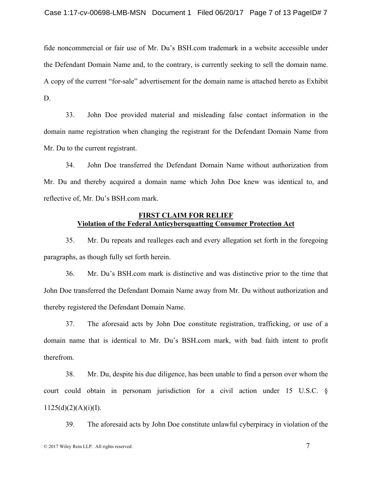fide noncommercial or fair use of Mr. Du's BSH.com trademark in a website accessible under the Defendant Domain Name and, to the contrary, is currently seeking to sell the domain name. A copy of the current "for-sale" advertisement for the domain name is attached hereto as Exhibit D.

33. John Doe provided material and misleading false contact information in the domain name registration when changing the registrant for the Defendant Domain Name from Mr. Du to the current registrant.

34. John Doe transferred the Defendant Domain Name without authorization from Mr. Du and thereby acquired a domain name which John Doe knew was identical to, and reflective of, Mr. Du's BSH.com mark.

# **FIRST CLAIM FOR RELIEF Violation of the Federal Anticybersquatting Consumer Protection Act**

35. Mr. Du repeats and realleges each and every allegation set forth in the foregoing paragraphs, as though fully set forth herein.

36. Mr. Du's BSH.com mark is distinctive and was distinctive prior to the time that John Doe transferred the Defendant Domain Name away from Mr. Du without authorization and thereby registered the Defendant Domain Name.

37. The aforesaid acts by John Doe constitute registration, trafficking, or use of a domain name that is identical to Mr. Du's BSH.com mark, with bad faith intent to profit therefrom.

38. Mr. Du, despite his due diligence, has been unable to find a person over whom the court could obtain in personam jurisdiction for a civil action under 15 U.S.C. §  $1125(d)(2)(A)(i)(I).$ 

39. The aforesaid acts by John Doe constitute unlawful cyberpiracy in violation of the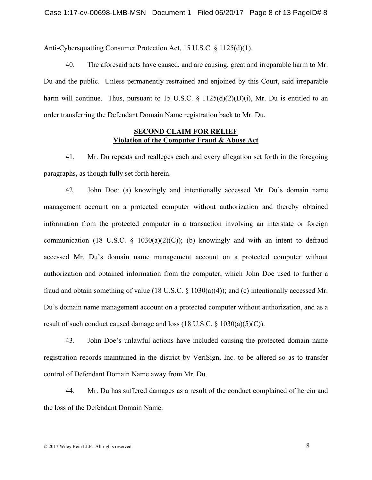Anti-Cybersquatting Consumer Protection Act, 15 U.S.C. § 1125(d)(1).

40. The aforesaid acts have caused, and are causing, great and irreparable harm to Mr. Du and the public. Unless permanently restrained and enjoined by this Court, said irreparable harm will continue. Thus, pursuant to 15 U.S.C.  $\S$  1125(d)(2)(D)(i), Mr. Du is entitled to an order transferring the Defendant Domain Name registration back to Mr. Du.

### **SECOND CLAIM FOR RELIEF Violation of the Computer Fraud & Abuse Act**

41. Mr. Du repeats and realleges each and every allegation set forth in the foregoing paragraphs, as though fully set forth herein.

42. John Doe: (a) knowingly and intentionally accessed Mr. Du's domain name management account on a protected computer without authorization and thereby obtained information from the protected computer in a transaction involving an interstate or foreign communication (18 U.S.C.  $\S$  1030(a)(2)(C)); (b) knowingly and with an intent to defraud accessed Mr. Du's domain name management account on a protected computer without authorization and obtained information from the computer, which John Doe used to further a fraud and obtain something of value (18 U.S.C. § 1030(a)(4)); and (c) intentionally accessed Mr. Du's domain name management account on a protected computer without authorization, and as a result of such conduct caused damage and loss  $(18 \text{ U.S.C.} \& 1030(a)(5)(C))$ .

43. John Doe's unlawful actions have included causing the protected domain name registration records maintained in the district by VeriSign, Inc. to be altered so as to transfer control of Defendant Domain Name away from Mr. Du.

44. Mr. Du has suffered damages as a result of the conduct complained of herein and the loss of the Defendant Domain Name.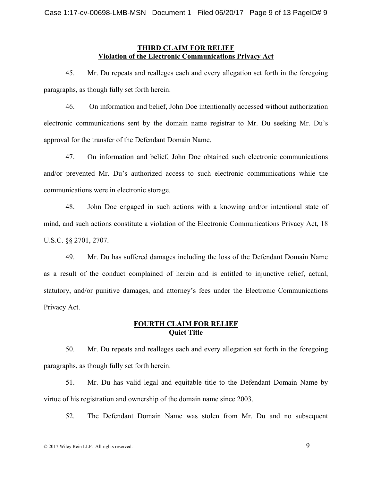### **THIRD CLAIM FOR RELIEF Violation of the Electronic Communications Privacy Act**

45. Mr. Du repeats and realleges each and every allegation set forth in the foregoing paragraphs, as though fully set forth herein.

46. On information and belief, John Doe intentionally accessed without authorization electronic communications sent by the domain name registrar to Mr. Du seeking Mr. Du's approval for the transfer of the Defendant Domain Name.

47. On information and belief, John Doe obtained such electronic communications and/or prevented Mr. Du's authorized access to such electronic communications while the communications were in electronic storage.

48. John Doe engaged in such actions with a knowing and/or intentional state of mind, and such actions constitute a violation of the Electronic Communications Privacy Act, 18 U.S.C. §§ 2701, 2707.

49. Mr. Du has suffered damages including the loss of the Defendant Domain Name as a result of the conduct complained of herein and is entitled to injunctive relief, actual, statutory, and/or punitive damages, and attorney's fees under the Electronic Communications Privacy Act.

# **FOURTH CLAIM FOR RELIEF Quiet Title**

50. Mr. Du repeats and realleges each and every allegation set forth in the foregoing paragraphs, as though fully set forth herein.

51. Mr. Du has valid legal and equitable title to the Defendant Domain Name by virtue of his registration and ownership of the domain name since 2003.

52. The Defendant Domain Name was stolen from Mr. Du and no subsequent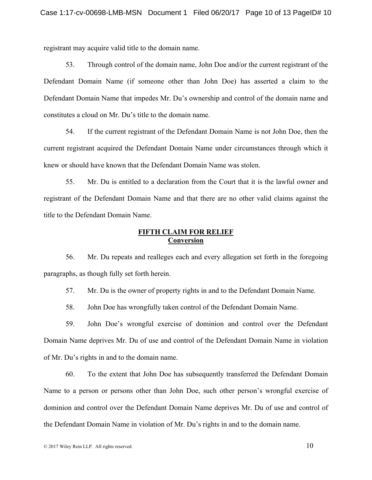registrant may acquire valid title to the domain name.

53. Through control of the domain name, John Doe and/or the current registrant of the Defendant Domain Name (if someone other than John Doe) has asserted a claim to the Defendant Domain Name that impedes Mr. Du's ownership and control of the domain name and constitutes a cloud on Mr. Du's title to the domain name.

54. If the current registrant of the Defendant Domain Name is not John Doe, then the current registrant acquired the Defendant Domain Name under circumstances through which it knew or should have known that the Defendant Domain Name was stolen.

55. Mr. Du is entitled to a declaration from the Court that it is the lawful owner and registrant of the Defendant Domain Name and that there are no other valid claims against the title to the Defendant Domain Name.

# **FIFTH CLAIM FOR RELIEF Conversion**

56. Mr. Du repeats and realleges each and every allegation set forth in the foregoing paragraphs, as though fully set forth herein.

57. Mr. Du is the owner of property rights in and to the Defendant Domain Name.

58. John Doe has wrongfully taken control of the Defendant Domain Name.

59. John Doe's wrongful exercise of dominion and control over the Defendant Domain Name deprives Mr. Du of use and control of the Defendant Domain Name in violation of Mr. Du's rights in and to the domain name.

60. To the extent that John Doe has subsequently transferred the Defendant Domain Name to a person or persons other than John Doe, such other person's wrongful exercise of dominion and control over the Defendant Domain Name deprives Mr. Du of use and control of the Defendant Domain Name in violation of Mr. Du's rights in and to the domain name.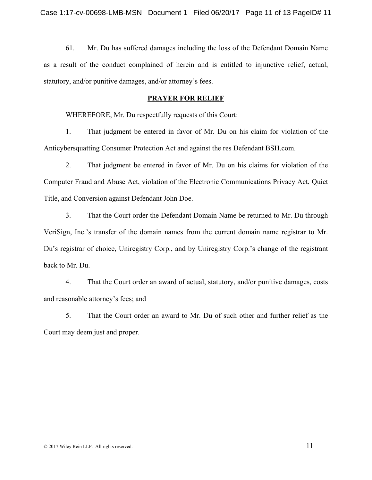61. Mr. Du has suffered damages including the loss of the Defendant Domain Name as a result of the conduct complained of herein and is entitled to injunctive relief, actual, statutory, and/or punitive damages, and/or attorney's fees.

### **PRAYER FOR RELIEF**

WHEREFORE, Mr. Du respectfully requests of this Court:

1. That judgment be entered in favor of Mr. Du on his claim for violation of the Anticybersquatting Consumer Protection Act and against the res Defendant BSH.com.

2. That judgment be entered in favor of Mr. Du on his claims for violation of the Computer Fraud and Abuse Act, violation of the Electronic Communications Privacy Act, Quiet Title, and Conversion against Defendant John Doe.

3. That the Court order the Defendant Domain Name be returned to Mr. Du through VeriSign, Inc.'s transfer of the domain names from the current domain name registrar to Mr. Du's registrar of choice, Uniregistry Corp., and by Uniregistry Corp.'s change of the registrant back to Mr. Du.

4. That the Court order an award of actual, statutory, and/or punitive damages, costs and reasonable attorney's fees; and

5. That the Court order an award to Mr. Du of such other and further relief as the Court may deem just and proper.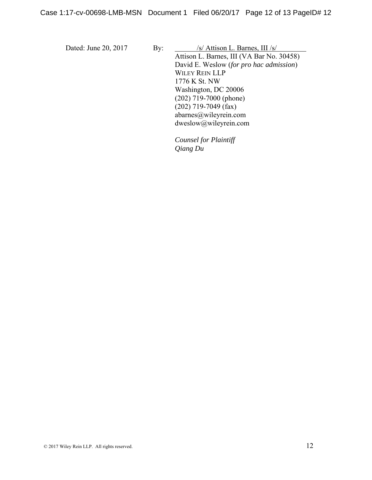Dated: June 20, 2017 By: /s/ Attison L. Barnes, III /s/ Attison L. Barnes, III (VA Bar No. 30458) David E. Weslow (*for pro hac admission*) WILEY REIN LLP 1776 K St. NW Washington, DC 20006 (202) 719-7000 (phone) (202) 719-7049 (fax) abarnes@wileyrein.com dweslow@wileyrein.com

> *Counsel for Plaintiff Qiang Du*